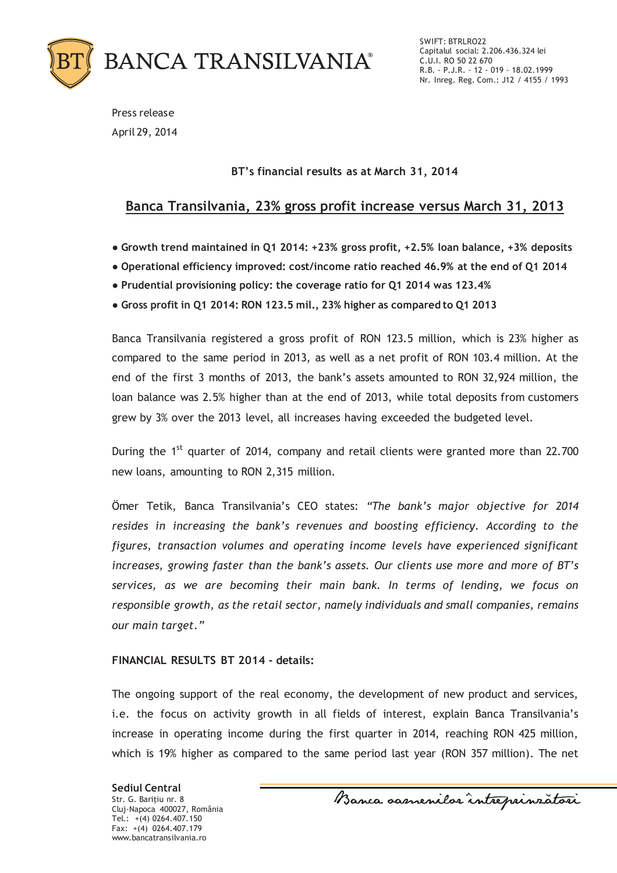

SWIFT: BTRLRO22 Capitalul social: 2.206.436.324 lei C.U.I. RO 50 22 670 R.B. - P.J.R. - 12 - 019 - 18.02.1999 Nr. Inreg. Reg. Com.: J12 / 4155 / 1993

Press release April 29, 2014

### **BT's financial results as at March 31, 2014**

## **Banca Transilvania, 23% gross profit increase versus March 31, 2013**

- **ȽGrowth trend maintained in Q1 2014: +23% gross profit, +2.5% loan balance, +3% deposits**
- Operational efficiency improved: cost/income ratio reached 46.9% at the end of Q1 2014
- **Prudential provisioning policy: the coverage ratio for Q1 2014 was 123.4%**
- **ȽGross profit in Q1 2014: RON 123.5 mil., 23% higher as compared to Q1 2013**

Banca Transilvania registered a gross profit of RON 123.5 million, which is 23% higher as compared to the same period in 2013, as well as a net profit of RON 103.4 million. At the end of the first 3 months of 2013, the bank's assets amounted to RON 32,924 million, the loan balance was 2.5% higher than at the end of 2013, while total deposits from customers grew by 3% over the 2013 level, all increases having exceeded the budgeted level.

During the 1<sup>st</sup> quarter of 2014, company and retail clients were granted more than 22.700 new loans, amounting to RON 2,315 million.

Ömer Tetik, Banca Transilvania's CEO states: *"The bank's major objective for 2014 resides in increasing the bank's revenues and boosting efficiency. According to the figures, transaction volumes and operating income levels have experienced significant increases, growing faster than the bank's assets. Our clients use more and more of BT's services, as we are becoming their main bank. In terms of lending, we focus on responsible growth, as the retail sector, namely individuals and small companies, remains our main target."*

#### **FINANCIAL RESULTS BT 2014 - details:**

The ongoing support of the real economy, the development of new product and services, i.e. the focus on activity growth in all fields of interest, explain Banca Transilvania's increase in operating income during the first quarter in 2014, reaching RON 425 million, which is 19% higher as compared to the same period last year (RON 357 million). The net

**Sediul Central** Str. G. Barițiu nr. 8 Cluj-Napoca 400027, România Tel.: +(4) 0264.407.150 Fax: +(4) 0264.407.179 www.bancatransilvania.ro

Banca samenilar intreprinzatori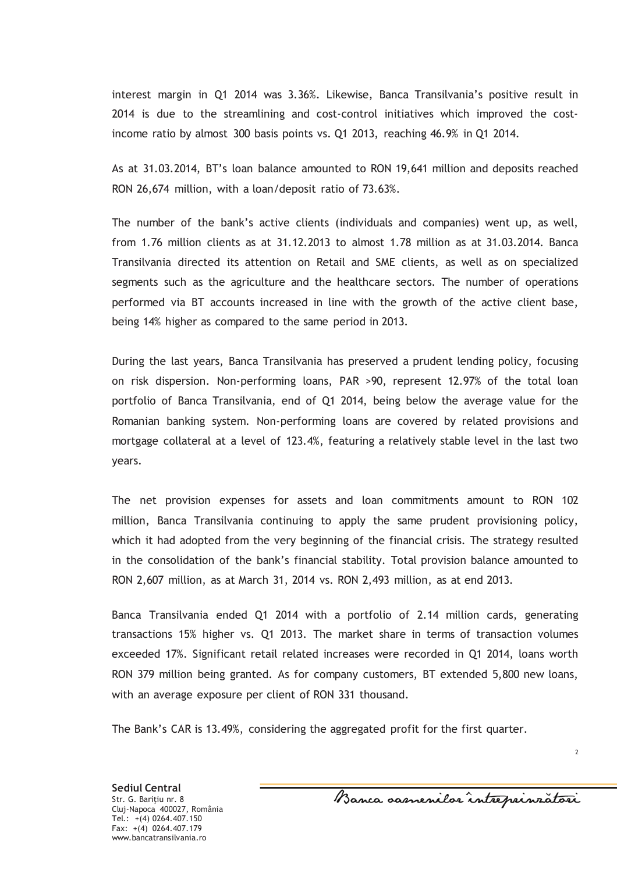interest margin in Q1 2014 was 3.36%. Likewise, Banca Transilvania's positive result in 2014 is due to the streamlining and cost-control initiatives which improved the costincome ratio by almost 300 basis points vs. Q1 2013, reaching 46.9% in Q1 2014.

As at 31.03.2014, BT's loan balance amounted to RON 19,641 million and deposits reached RON 26,674 million, with a loan/deposit ratio of 73.63%.

The number of the bank's active clients (individuals and companies) went up, as well, from 1.76 million clients as at 31.12.2013 to almost 1.78 million as at 31.03.2014. Banca Transilvania directed its attention on Retail and SME clients, as well as on specialized segments such as the agriculture and the healthcare sectors. The number of operations performed via BT accounts increased in line with the growth of the active client base, being 14% higher as compared to the same period in 2013.

During the last years, Banca Transilvania has preserved a prudent lending policy, focusing on risk dispersion. Non-performing loans, PAR >90, represent 12.97% of the total loan portfolio of Banca Transilvania, end of Q1 2014, being below the average value for the Romanian banking system. Non-performing loans are covered by related provisions and mortgage collateral at a level of 123.4%, featuring a relatively stable level in the last two years.

The net provision expenses for assets and loan commitments amount to RON 102 million, Banca Transilvania continuing to apply the same prudent provisioning policy, which it had adopted from the very beginning of the financial crisis. The strategy resulted in the consolidation of the bank's financial stability. Total provision balance amounted to RON 2,607 million, as at March 31, 2014 vs. RON 2,493 million, as at end 2013.

Banca Transilvania ended Q1 2014 with a portfolio of 2.14 million cards, generating transactions 15% higher vs. Q1 2013. The market share in terms of transaction volumes exceeded 17%. Significant retail related increases were recorded in Q1 2014, loans worth RON 379 million being granted. As for company customers, BT extended 5,800 new loans, with an average exposure per client of RON 331 thousand.

The Bank's CAR is 13.49%, considering the aggregated profit for the first quarter.

Banca oasnenilor intreprinzatori

 $\overline{2}$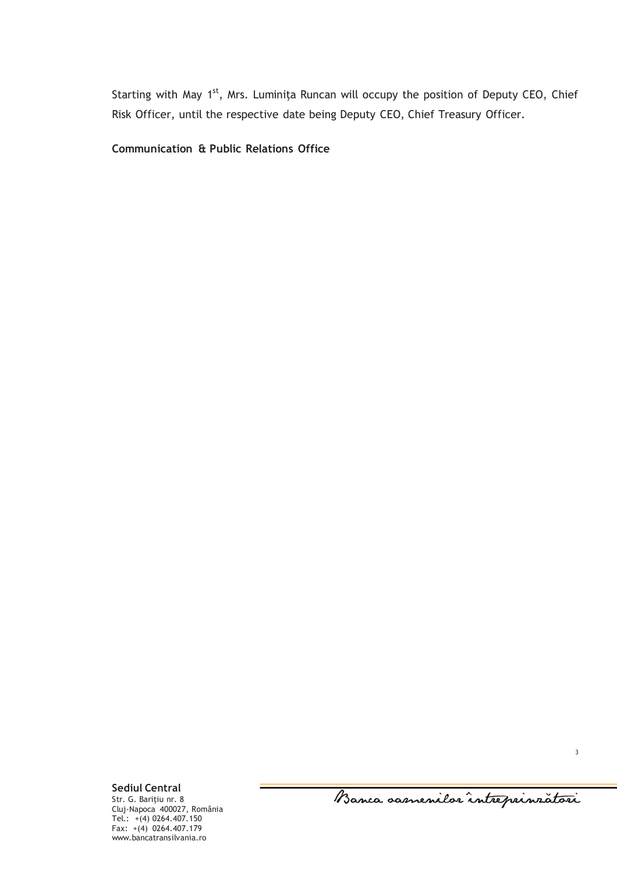Starting with May 1<sup>st</sup>, Mrs. Luminița Runcan will occupy the position of Deputy CEO, Chief Risk Officer, until the respective date being Deputy CEO, Chief Treasury Officer.

**Communication & Public Relations Office**

**Sediul Central** Str. G. Barițiu nr. 8 Cluj-Napoca 400027, România Tel.: +(4) 0264.407.150 Fax: +(4) 0264.407.179 www.bancatransilvania.ro

Banca oasnenilor întreprinzători

3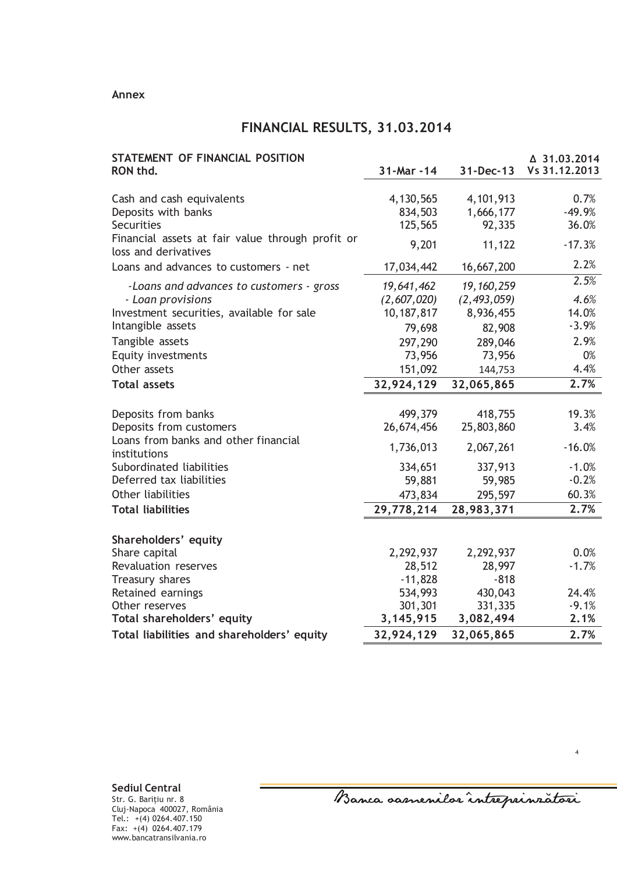#### **Annex**

# **FINANCIAL RESULTS, 31.03.2014**

| STATEMENT OF FINANCIAL POSITION<br>RON thd.                              | 31-Mar -14        | 31-Dec-13         | △ 31.03.2014<br>Vs 31.12.2013 |
|--------------------------------------------------------------------------|-------------------|-------------------|-------------------------------|
|                                                                          |                   |                   |                               |
| Cash and cash equivalents                                                | 4, 130, 565       | 4, 101, 913       | 0.7%                          |
| Deposits with banks                                                      | 834,503           | 1,666,177         | $-49.9%$                      |
| <b>Securities</b>                                                        | 125,565           | 92,335            | 36.0%                         |
| Financial assets at fair value through profit or<br>loss and derivatives | 9,201             | 11,122            | $-17.3%$                      |
| Loans and advances to customers - net                                    | 17,034,442        | 16,667,200        | 2.2%                          |
| -Loans and advances to customers - gross                                 | 19,641,462        | 19, 160, 259      | 2.5%                          |
| - Loan provisions                                                        | (2,607,020)       | (2, 493, 059)     | 4.6%                          |
| Investment securities, available for sale                                | 10, 187, 817      | 8,936,455         | 14.0%                         |
| Intangible assets                                                        | 79,698            | 82,908            | $-3.9%$                       |
| Tangible assets                                                          | 297,290           | 289,046           | 2.9%                          |
| Equity investments                                                       | 73,956            | 73,956            | 0%                            |
| Other assets                                                             | 151,092           | 144,753           | 4.4%                          |
| <b>Total assets</b>                                                      | 32,924,129        | 32,065,865        | 2.7%                          |
| Deposits from banks                                                      | 499,379           | 418,755           | 19.3%                         |
| Deposits from customers                                                  | 26,674,456        | 25,803,860        | 3.4%                          |
| Loans from banks and other financial                                     | 1,736,013         | 2,067,261         | $-16.0%$                      |
| institutions                                                             |                   |                   |                               |
| Subordinated liabilities<br>Deferred tax liabilities                     | 334,651<br>59,881 | 337,913<br>59,985 | $-1.0%$<br>$-0.2%$            |
| Other liabilities                                                        | 473,834           | 295,597           | 60.3%                         |
| <b>Total liabilities</b>                                                 | 29,778,214        | 28,983,371        | 2.7%                          |
|                                                                          |                   |                   |                               |
| Shareholders' equity                                                     |                   |                   |                               |
| Share capital                                                            | 2,292,937         | 2,292,937         | 0.0%                          |
| Revaluation reserves                                                     | 28,512            | 28,997            | $-1.7%$                       |
| Treasury shares                                                          | $-11,828$         | $-818$            |                               |
| Retained earnings                                                        | 534,993           | 430,043           | 24.4%                         |
| Other reserves                                                           | 301,301           | 331,335           | $-9.1%$                       |
| Total shareholders' equity                                               | 3, 145, 915       | 3,082,494         | 2.1%                          |
| Total liabilities and shareholders' equity                               | 32,924,129        | 32,065,865        | 2.7%                          |

Banca samenilar intreprinzatori

4